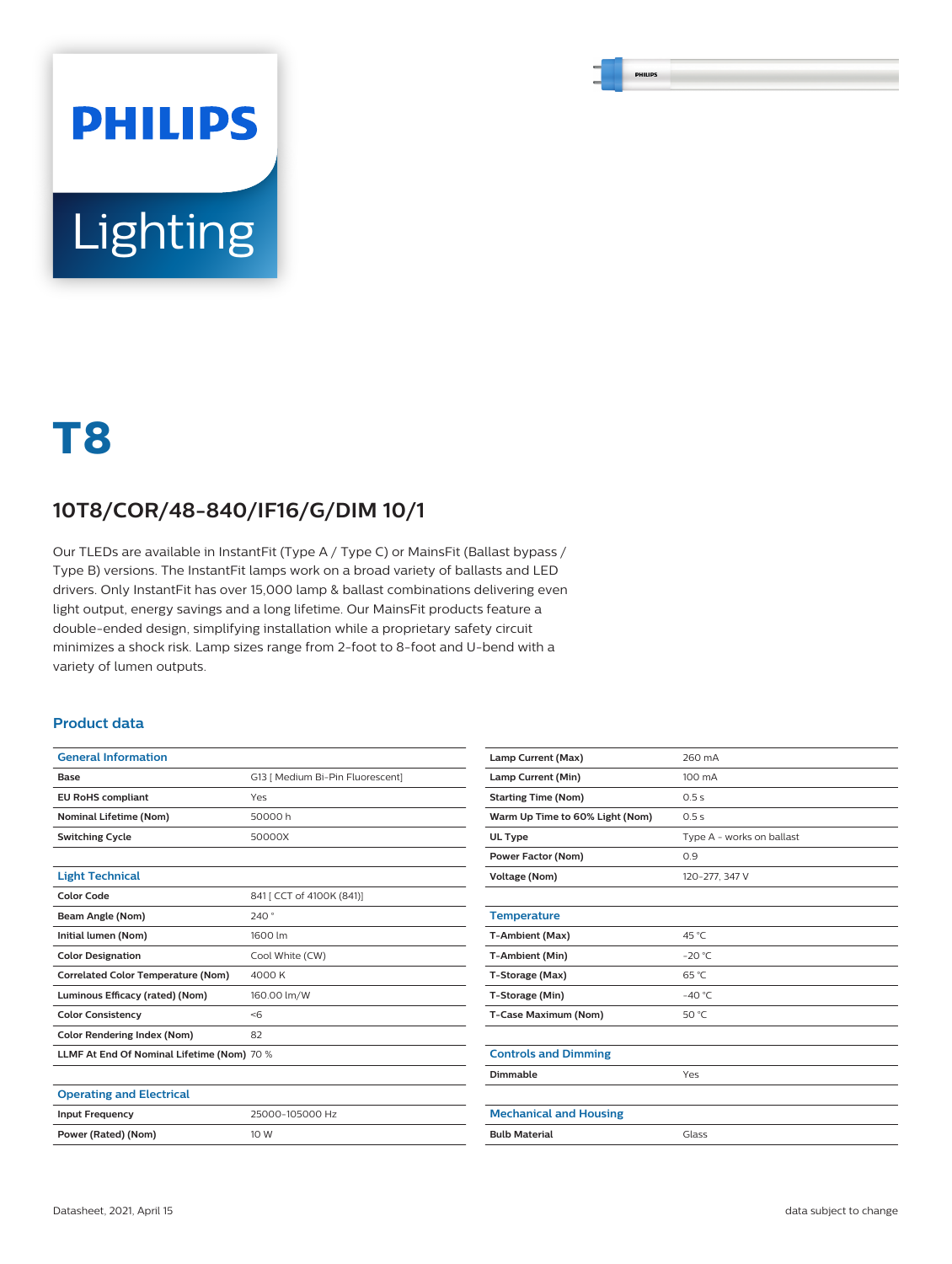# **PHILIPS** Lighting

# **T8**

### **10T8/COR/48-840/IF16/G/DIM 10/1**

Our TLEDs are available in InstantFit (Type A / Type C) or MainsFit (Ballast bypass / Type B) versions. The InstantFit lamps work on a broad variety of ballasts and LED drivers. Only InstantFit has over 15,000 lamp & ballast combinations delivering even light output, energy savings and a long lifetime. Our MainsFit products feature a double-ended design, simplifying installation while a proprietary safety circuit minimizes a shock risk. Lamp sizes range from 2-foot to 8-foot and U-bend with a variety of lumen outputs.

#### **Product data**

| <b>General Information</b>                 |                                  |  |  |  |
|--------------------------------------------|----------------------------------|--|--|--|
| Base                                       | G13   Medium Bi-Pin Fluorescent] |  |  |  |
| <b>EU RoHS compliant</b>                   | Yes                              |  |  |  |
| <b>Nominal Lifetime (Nom)</b>              | 50000 h                          |  |  |  |
| <b>Switching Cycle</b>                     | 50000X                           |  |  |  |
|                                            |                                  |  |  |  |
| <b>Light Technical</b>                     |                                  |  |  |  |
| <b>Color Code</b>                          | 841 [ CCT of 4100K (841)]        |  |  |  |
| Beam Angle (Nom)                           | 240°                             |  |  |  |
| Initial lumen (Nom)                        | 1600 lm                          |  |  |  |
| <b>Color Designation</b>                   | Cool White (CW)                  |  |  |  |
| <b>Correlated Color Temperature (Nom)</b>  | 4000K                            |  |  |  |
| Luminous Efficacy (rated) (Nom)            | 160.00 lm/W                      |  |  |  |
| <b>Color Consistency</b>                   | < 6                              |  |  |  |
| <b>Color Rendering Index (Nom)</b>         | 82                               |  |  |  |
| LLMF At End Of Nominal Lifetime (Nom) 70 % |                                  |  |  |  |
|                                            |                                  |  |  |  |
| <b>Operating and Electrical</b>            |                                  |  |  |  |
| <b>Input Frequency</b>                     | 25000-105000 Hz                  |  |  |  |
| Power (Rated) (Nom)                        | 10 W                             |  |  |  |

| Lamp Current (Max)              | 260 mA                    |  |  |  |
|---------------------------------|---------------------------|--|--|--|
| Lamp Current (Min)              | 100 mA                    |  |  |  |
| <b>Starting Time (Nom)</b>      | 0.5s                      |  |  |  |
| Warm Up Time to 60% Light (Nom) | 0.5s                      |  |  |  |
| UL Type                         | Type A - works on ballast |  |  |  |
| <b>Power Factor (Nom)</b>       | 0.9                       |  |  |  |
| <b>Voltage (Nom)</b>            | 120-277, 347 V            |  |  |  |
|                                 |                           |  |  |  |
| <b>Temperature</b>              |                           |  |  |  |
| T-Ambient (Max)                 | 45 °C                     |  |  |  |
| T-Ambient (Min)                 | $-20 °C$                  |  |  |  |
| T-Storage (Max)                 | $65^{\circ}$ C            |  |  |  |
| T-Storage (Min)                 | $-40 °C$                  |  |  |  |
| T-Case Maximum (Nom)            | 50 °C                     |  |  |  |
|                                 |                           |  |  |  |
| <b>Controls and Dimming</b>     |                           |  |  |  |
| Dimmable                        | Yes                       |  |  |  |
|                                 |                           |  |  |  |
| <b>Mechanical and Housing</b>   |                           |  |  |  |
| <b>Bulb Material</b>            | Glass                     |  |  |  |
|                                 |                           |  |  |  |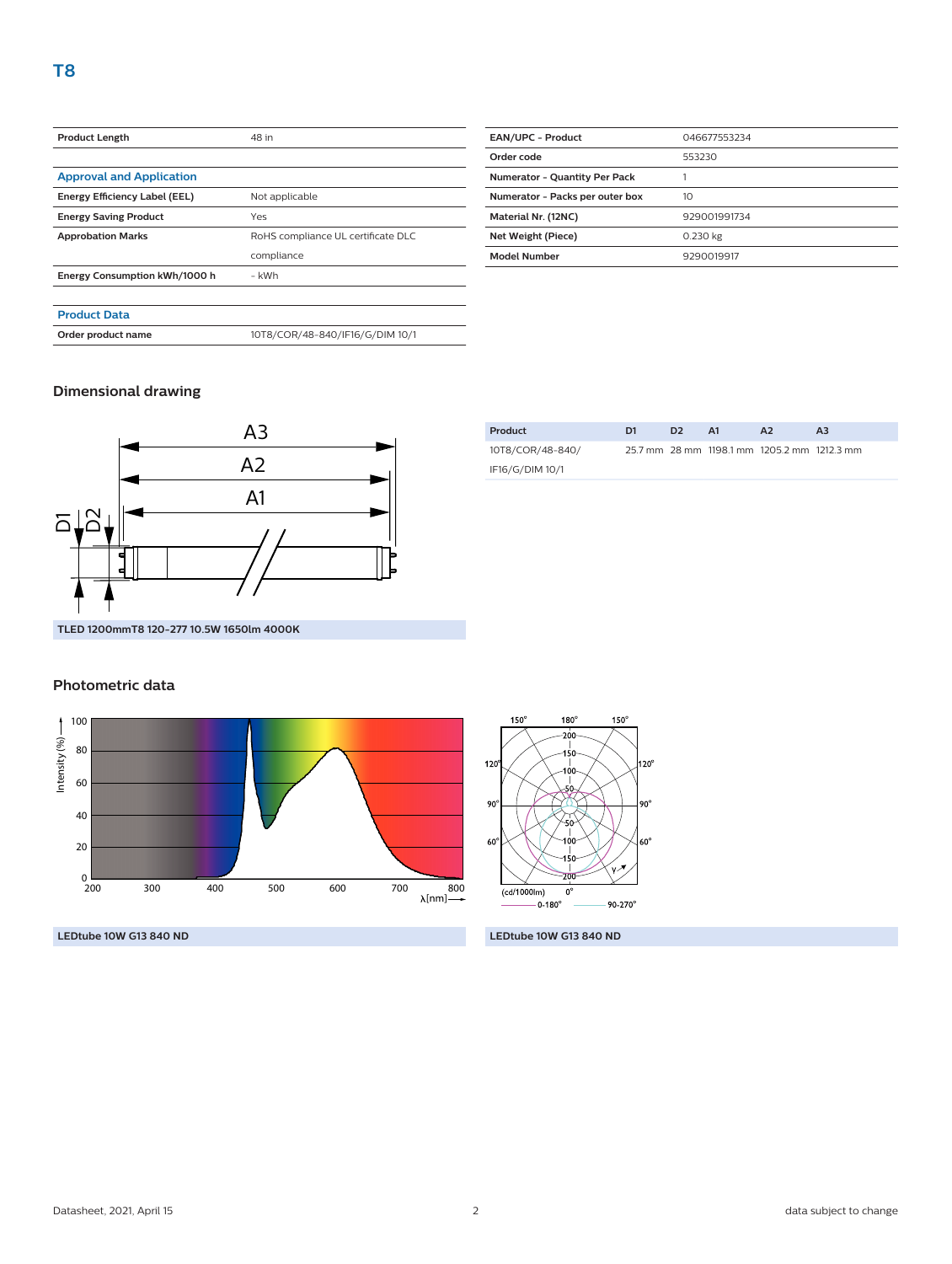| <b>Product Length</b>           | 48 in                              |  |  |  |
|---------------------------------|------------------------------------|--|--|--|
|                                 |                                    |  |  |  |
| <b>Approval and Application</b> |                                    |  |  |  |
| Energy Efficiency Label (EEL)   | Not applicable                     |  |  |  |
| <b>Energy Saving Product</b>    | Yes                                |  |  |  |
| <b>Approbation Marks</b>        | RoHS compliance UL certificate DLC |  |  |  |
|                                 | compliance                         |  |  |  |
| Energy Consumption kWh/1000 h   | - kWh                              |  |  |  |
|                                 |                                    |  |  |  |
| <b>Product Data</b>             |                                    |  |  |  |
| Order product name              | 10T8/COR/48-840/IF16/G/DIM 10/1    |  |  |  |
|                                 |                                    |  |  |  |

| <b>EAN/UPC - Product</b>             | 046677553234 |  |  |  |
|--------------------------------------|--------------|--|--|--|
| Order code                           | 553230       |  |  |  |
| <b>Numerator - Quantity Per Pack</b> |              |  |  |  |
| Numerator - Packs per outer box      | 10           |  |  |  |
| Material Nr. (12NC)                  | 929001991734 |  |  |  |
| Net Weight (Piece)                   | 0.230 kg     |  |  |  |
| <b>Model Number</b>                  | 9290019917   |  |  |  |
|                                      |              |  |  |  |

#### **Dimensional drawing**



| Product          | D1 | D <sub>2</sub> | A1 | A2                                          | A <sub>3</sub> |
|------------------|----|----------------|----|---------------------------------------------|----------------|
| 10T8/COR/48-840/ |    |                |    | 25.7 mm 28 mm 1198.1 mm 1205.2 mm 1212.3 mm |                |
| IF16/G/DIM 10/1  |    |                |    |                                             |                |

## **Photometric data**



120  $20^{\circ}$  $\overline{\phantom{a}}$  $90^\circ$ 90  $60^\circ$  $\overline{(cd/1000\text{lm})}$  $\mathbf{0}^{\prime}$  $-0.180^{\circ}$  $90 - 270^{\circ}$ 

 $180^\circ$ 

-200 Ī

 $150^\circ$ 

 $150^\circ$ 

**LEDtube 10W G13 840 ND LEDtube 10W G13 840 ND**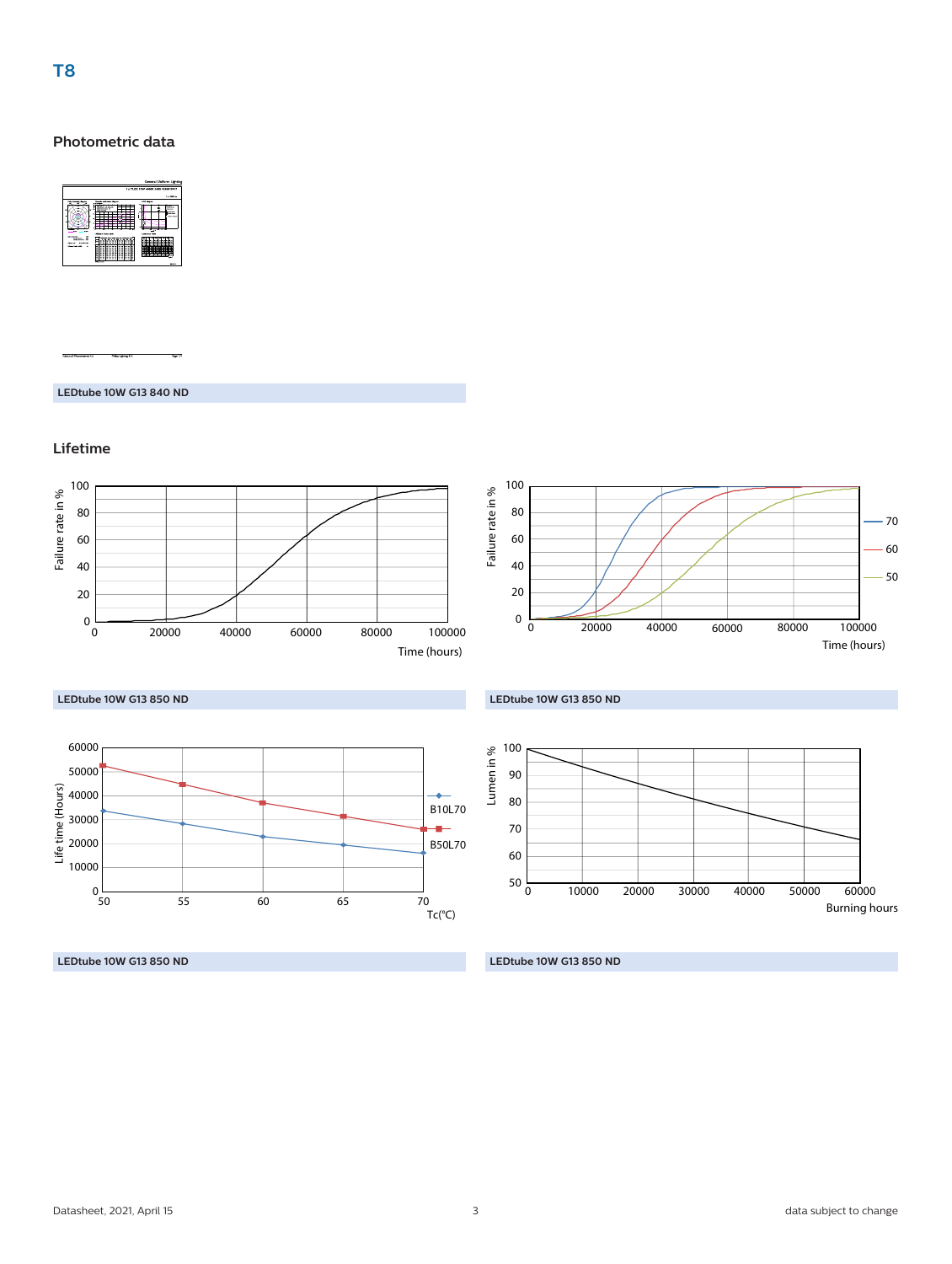#### **Photometric data**



**LEDtube 10W G13 840 ND**

#### **Lifetime**



**LEDtube 10W G13 850 ND**

**LEDtube 10W G13 850 ND**